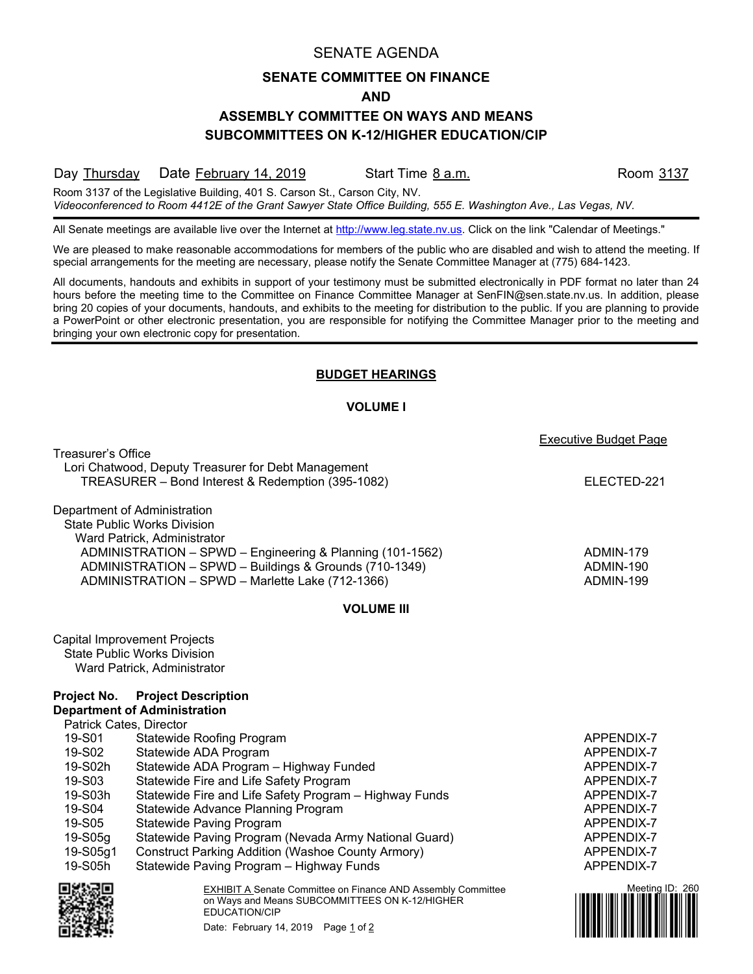## SENATE AGENDA

# **SENATE COMMITTEE ON FINANCE**

#### **AND**

# **ASSEMBLY COMMITTEE ON WAYS AND MEANS SUBCOMMITTEES ON K-12/HIGHER EDUCATION/CIP**

Day Thursday Date February 14, 2019 Start Time 8 a.m. Room 3137

Room 3137 of the Legislative Building, 401 S. Carson St., Carson City, NV. *Videoconferenced to Room 4412E of the Grant Sawyer State Office Building, 555 E. Washington Ave., Las Vegas, NV.*

All Senate meetings are available live over the Internet at [http://www.leg.state.nv.us.](http://www.leg.state.nv.us/) Click on the link "Calendar of Meetings."

We are pleased to make reasonable accommodations for members of the public who are disabled and wish to attend the meeting. If special arrangements for the meeting are necessary, please notify the Senate Committee Manager at (775) 684-1423.

All documents, handouts and exhibits in support of your testimony must be submitted electronically in PDF format no later than 24 hours before the meeting time to the Committee on Finance Committee Manager at SenFIN@sen.state.nv.us. In addition, please bring 20 copies of your documents, handouts, and exhibits to the meeting for distribution to the public. If you are planning to provide a PowerPoint or other electronic presentation, you are responsible for notifying the Committee Manager prior to the meeting and bringing your own electronic copy for presentation.

### **BUDGET HEARINGS**

### **VOLUME I**

|                                                                                                                                                                                                                                                                              |                                                                                                                                                                                                                                                                                                                                                                                                                                                   | Executive Budget Page                                                                                                                    |
|------------------------------------------------------------------------------------------------------------------------------------------------------------------------------------------------------------------------------------------------------------------------------|---------------------------------------------------------------------------------------------------------------------------------------------------------------------------------------------------------------------------------------------------------------------------------------------------------------------------------------------------------------------------------------------------------------------------------------------------|------------------------------------------------------------------------------------------------------------------------------------------|
| Treasurer's Office                                                                                                                                                                                                                                                           | Lori Chatwood, Deputy Treasurer for Debt Management<br>TREASURER - Bond Interest & Redemption (395-1082)                                                                                                                                                                                                                                                                                                                                          | ELECTED-221                                                                                                                              |
| Department of Administration<br><b>State Public Works Division</b><br>Ward Patrick, Administrator<br>ADMINISTRATION - SPWD - Engineering & Planning (101-1562)<br>ADMINISTRATION - SPWD - Buildings & Grounds (710-1349)<br>ADMINISTRATION - SPWD - Marlette Lake (712-1366) |                                                                                                                                                                                                                                                                                                                                                                                                                                                   | ADMIN-179<br>ADMIN-190<br>ADMIN-199                                                                                                      |
|                                                                                                                                                                                                                                                                              | <b>VOLUME III</b>                                                                                                                                                                                                                                                                                                                                                                                                                                 |                                                                                                                                          |
| Project No.                                                                                                                                                                                                                                                                  | Capital Improvement Projects<br><b>State Public Works Division</b><br>Ward Patrick, Administrator<br><b>Project Description</b><br><b>Department of Administration</b>                                                                                                                                                                                                                                                                            |                                                                                                                                          |
| Patrick Cates, Director<br>19-S01<br>19-S02<br>19-S02h<br>19-S03<br>19-S03h<br>19-S04<br>19-S05<br>19-S05g<br>19-S05g1<br>19-S05h                                                                                                                                            | <b>Statewide Roofing Program</b><br>Statewide ADA Program<br>Statewide ADA Program - Highway Funded<br>Statewide Fire and Life Safety Program<br>Statewide Fire and Life Safety Program - Highway Funds<br>Statewide Advance Planning Program<br><b>Statewide Paving Program</b><br>Statewide Paving Program (Nevada Army National Guard)<br><b>Construct Parking Addition (Washoe County Armory)</b><br>Statewide Paving Program - Highway Funds | APPENDIX-7<br>APPENDIX-7<br>APPENDIX-7<br>APPENDIX-7<br>APPENDIX-7<br>APPENDIX-7<br>APPENDIX-7<br>APPENDIX-7<br>APPENDIX-7<br>APPENDIX-7 |
|                                                                                                                                                                                                                                                                              | <b>EXHIBIT A Senate Committee on Finance AND Assembly Committee</b><br>on Ways and Means SUBCOMMITTEES ON K-12/HIGHER<br>EDUCATION/CIP<br>Date: February 14, 2019 Page 1 of 2                                                                                                                                                                                                                                                                     | Meeting ID: 260                                                                                                                          |